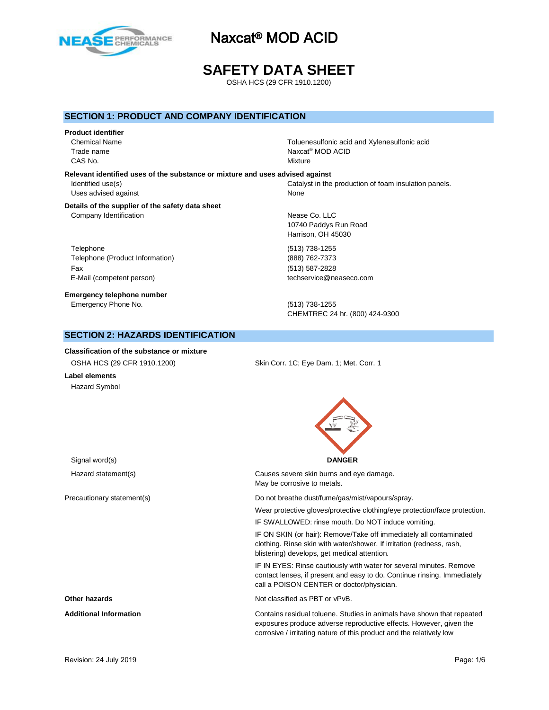

# **SAFETY DATA SHEET**

OSHA HCS (29 CFR 1910.1200)

## **SECTION 1: PRODUCT AND COMPANY IDENTIFICATION**

## **Product identifier**

Trade name CAS No. Notice that the contract of the contract of the contract of the contract of the contract of the contract of the contract of the contract of the contract of the contract of the contract of the contract of the contra

Chemical Name Toluenesulfonic acid and Xylenesulfonic acid Naxcat<sup>®</sup> MOD ACID

## **Relevant identified uses of the substance or mixture and uses advised against** Uses advised against None

## **Details of the supplier of the safety data sheet** Company Identification **Nearly 19** Nease Co. LLC

Telephone (513) 738-1255 Telephone (Product Information) (888) 762-7373 Fax (513) 587-2828 E-Mail (competent person) the competent of the competent person of the competent of the competent of the competent of the competent of the competent of the competent of the competent of the competent of the competent of th

**Emergency telephone number** Emergency Phone No. (513) 738-1255

Identified use(s) The intervals of Catalyst in the production of foam insulation panels.

10740 Paddys Run Road Harrison, OH 45030

CHEMTREC 24 hr. (800) 424-9300

## **SECTION 2: HAZARDS IDENTIFICATION**

# **Classification of the substance or mixture**

OSHA HCS (29 CFR 1910.1200) Skin Corr. 1C; Eye Dam. 1; Met. Corr. 1

## **Label elements** Hazard Symbol

Signal word(s) **DANGER**

Hazard statement(s) Causes severe skin burns and eye damage. May be corrosive to metals.

Precautionary statement(s) example and the Do not breathe dust/fume/gas/mist/vapours/spray.

Wear protective gloves/protective clothing/eye protection/face protection.

IF SWALLOWED: rinse mouth. Do NOT induce vomiting.

IF ON SKIN (or hair): Remove/Take off immediately all contaminated clothing. Rinse skin with water/shower. If irritation (redness, rash, blistering) develops, get medical attention.

IF IN EYES: Rinse cautiously with water for several minutes. Remove contact lenses, if present and easy to do. Continue rinsing. Immediately call a POISON CENTER or doctor/physician.

**Other hazards Other hazards Not classified as PBT or vPvB.** 

**Additional Information** Contains residual toluene. Studies in animals have shown that repeated exposures produce adverse reproductive effects. However, given the corrosive / irritating nature of this product and the relatively low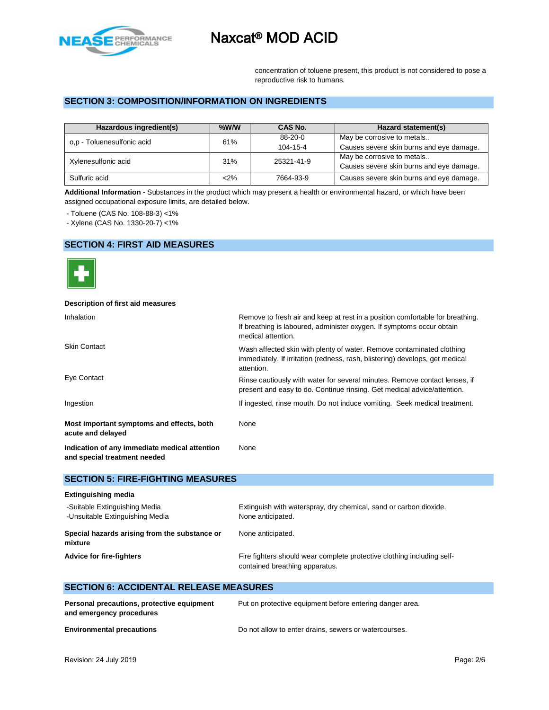

concentration of toluene present, this product is not considered to pose a reproductive risk to humans.

## **SECTION 3: COMPOSITION/INFORMATION ON INGREDIENTS**

| Hazardous ingredient(s)    | $%$ W/W | CAS No.    | Hazard statement(s)                      |
|----------------------------|---------|------------|------------------------------------------|
| o,p - Toluenesulfonic acid | 61%     | $88-20-0$  | May be corrosive to metals               |
|                            |         | 104-15-4   | Causes severe skin burns and eye damage. |
| Xylenesulfonic acid        | 31%     | 25321-41-9 | May be corrosive to metals               |
|                            |         |            | Causes severe skin burns and eye damage. |
| Sulfuric acid              | $<$ 2%  | 7664-93-9  | Causes severe skin burns and eye damage. |

**Additional Information -** Substances in the product which may present a health or environmental hazard, or which have been assigned occupational exposure limits, are detailed below.

- Toluene (CAS No. 108-88-3) <1%

- Xylene (CAS No. 1330-20-7) <1%

## **SECTION 4: FIRST AID MEASURES**



## **Description of first aid measures**

| <b>Inhalation</b>                                                             | Remove to fresh air and keep at rest in a position comfortable for breathing.<br>If breathing is laboured, administer oxygen. If symptoms occur obtain<br>medical attention. |  |  |
|-------------------------------------------------------------------------------|------------------------------------------------------------------------------------------------------------------------------------------------------------------------------|--|--|
| <b>Skin Contact</b>                                                           | Wash affected skin with plenty of water. Remove contaminated clothing<br>immediately. If irritation (redness, rash, blistering) develops, get medical<br>attention.          |  |  |
| Eye Contact                                                                   | Rinse cautiously with water for several minutes. Remove contact lenses, if<br>present and easy to do. Continue rinsing. Get medical advice/attention.                        |  |  |
| Ingestion                                                                     | If ingested, rinse mouth. Do not induce vomiting. Seek medical treatment.                                                                                                    |  |  |
| Most important symptoms and effects, both<br>acute and delayed                | None                                                                                                                                                                         |  |  |
| Indication of any immediate medical attention<br>and special treatment needed | None                                                                                                                                                                         |  |  |

## **SECTION 5: FIRE-FIGHTING MEASURES**

| <b>Extinguishing media</b>                                       |                                                                                                          |
|------------------------------------------------------------------|----------------------------------------------------------------------------------------------------------|
| -Suitable Extinguishing Media<br>-Unsuitable Extinguishing Media | Extinguish with waterspray, dry chemical, sand or carbon dioxide.<br>None anticipated.                   |
| Special hazards arising from the substance or<br>mixture         | None anticipated.                                                                                        |
| <b>Advice for fire-fighters</b>                                  | Fire fighters should wear complete protective clothing including self-<br>contained breathing apparatus. |

## **SECTION 6: ACCIDENTAL RELEASE MEASURES**

| Personal precautions, protective equipment<br>and emergency procedures | Put on protective equipment before entering danger area. |
|------------------------------------------------------------------------|----------------------------------------------------------|
| <b>Environmental precautions</b>                                       | Do not allow to enter drains, sewers or watercourses.    |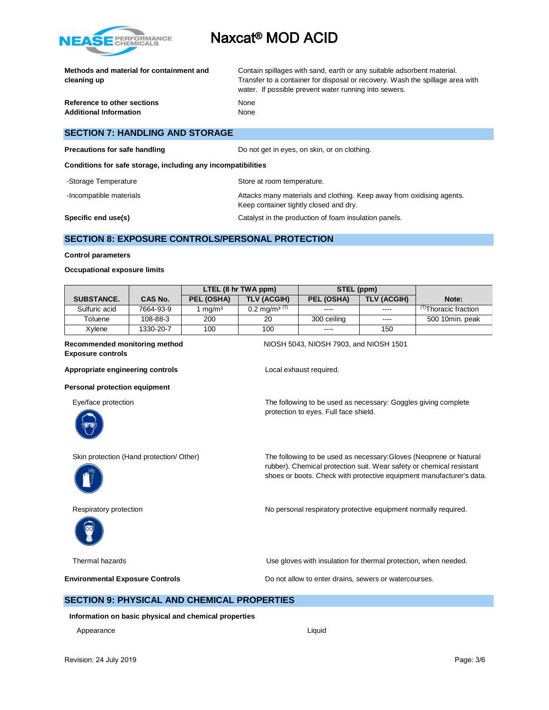

|             | Methods and material for containment and |  |
|-------------|------------------------------------------|--|
| cleaning up |                                          |  |

**Reference to other sections None Additional Information** None

Contain spillages with sand, earth or any suitable adsorbent material. Transfer to a container for disposal or recovery. Wash the spillage area with water. If possible prevent water running into sewers.

## **SECTION 7: HANDLING AND STORAGE**

**Precautions for safe handling** Do not get in eyes, on skin, or on clothing.

**Conditions for safe storage, including any incompatibilities**

| -Storage Temperature    | Store at room temperature.                                                                                      |
|-------------------------|-----------------------------------------------------------------------------------------------------------------|
| -Incompatible materials | Attacks many materials and clothing. Keep away from oxidising agents.<br>Keep container tightly closed and dry. |
| Specific end use(s)     | Catalyst in the production of foam insulation panels.                                                           |

## **SECTION 8: EXPOSURE CONTROLS/PERSONAL PROTECTION**

## **Control parameters**

## **Occupational exposure limits**

|                   |                | LTEL (8 hr TWA ppm) |                            | STEL (ppm)  |             |                                |
|-------------------|----------------|---------------------|----------------------------|-------------|-------------|--------------------------------|
| <b>SUBSTANCE.</b> | <b>CAS No.</b> | PEL (OSHA)          | <b>TLV (ACGIH)</b>         | PEL (OSHA)  | TLV (ACGIH) | Note:                          |
| Sulfuric acid     | 7664-93-9      | mq/m <sup>3</sup>   | $0.2 \text{ ma/m}^{3}$ (T) | ----        | $---$       | <sup>⊓</sup> Thoracic fraction |
| Toluene           | 108-88-3       | 200                 | 20                         | 300 ceiling | $---$       | 500 10min. peak                |
| Xvlene            | 1330-20-7      | 100                 | 100                        | $\cdots$    | 150         |                                |

# **Exposure controls**

**Recommended monitoring method** NIOSH 5043, NIOSH 7903, and NIOSH 1501

Appropriate engineering controls **Appropriate engineering controls** Local exhaust required.

## **Personal protection equipment**

Eye/face protection The following to be used as necessary: Goggles giving complete



protection to eyes. Full face shield.





Skin protection (Hand protection/ Other) The following to be used as necessary:Gloves (Neoprene or Natural rubber). Chemical protection suit. Wear safety or chemical resistant shoes or boots. Check with protective equipment manufacturer's data.

Respiratory protection **No personal respiratory protective equipment normally required.** 

Thermal hazards Use gloves with insulation for thermal protection, when needed.

**Environmental Exposure Controls Exposure Controls Do not allow to enter drains, sewers or watercourses.** 

## **SECTION 9: PHYSICAL AND CHEMICAL PROPERTIES**

**Information on basic physical and chemical properties**

Appearance Liquid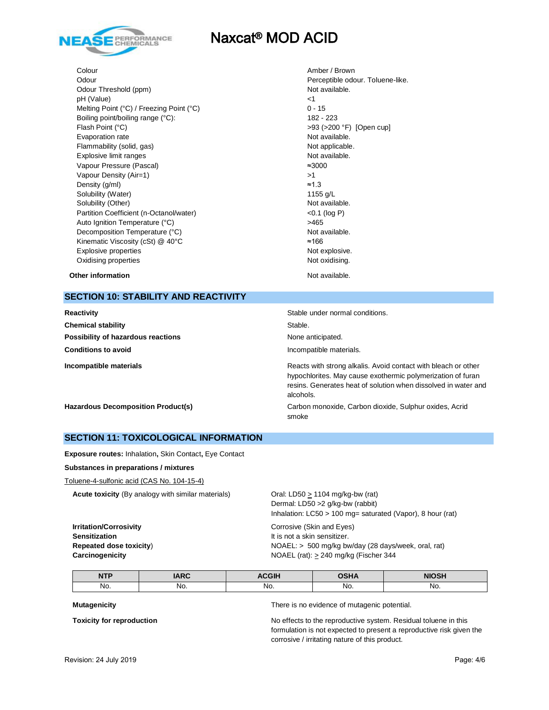

Colour Amber / Brown Odour **Perceptible odour.** Toluene-like. Odour Threshold (ppm) Not available. pH (Value)  $\leq$  1 Melting Point (°C) / Freezing Point (°C) 0 - 15 Boiling point/boiling range (°C): 182 - 223 Flash Point (°C)  $>93$  (>200 °F) [Open cup] Evaporation rate **Not available**. Flammability (solid, gas) Not applicable. Explosive limit ranges Not available. Vapour Pressure (Pascal) ≈3000 Vapour Density (Air=1)  $>1$ Density (g/ml)  $\approx$ 1.3 Solubility (Water) 1155 g/L Solubility (Other) Not available. Partition Coefficient (n-Octanol/water) <0.1 (log P) Auto Ignition Temperature (°C) <br>
>465 Decomposition Temperature (°C) Not available. Kinematic Viscosity (cSt)  $@$  40°C  $\simeq$  166 Explosive properties Not explosive. Oxidising properties Not oxidising.

**Other information** and the state of the state of the state of the Not available.

## **SECTION 10: STABILITY AND REACTIVITY**

| Reactivity                                | Stable under normal conditions.                                                                                                                                                                              |
|-------------------------------------------|--------------------------------------------------------------------------------------------------------------------------------------------------------------------------------------------------------------|
| <b>Chemical stability</b>                 | Stable.                                                                                                                                                                                                      |
| Possibility of hazardous reactions        | None anticipated.                                                                                                                                                                                            |
| <b>Conditions to avoid</b>                | Incompatible materials.                                                                                                                                                                                      |
| Incompatible materials                    | Reacts with strong alkalis. Avoid contact with bleach or other<br>hypochlorites. May cause exothermic polymerization of furan<br>resins. Generates heat of solution when dissolved in water and<br>alcohols. |
| <b>Hazardous Decomposition Product(s)</b> | Carbon monoxide, Carbon dioxide, Sulphur oxides, Acrid<br>smoke                                                                                                                                              |

## **SECTION 11: TOXICOLOGICAL INFORMATION**

**Exposure routes:** Inhalation**,** Skin Contact**,** Eye Contact

**Substances in preparations / mixtures**

Toluene-4-sulfonic acid (CAS No. 104-15-4)

**Acute toxicity** (By analogy with similar materials) Oral: LD50 > 1104 mg/kg-bw (rat)

Dermal: LD50 >2 g/kg-bw (rabbit) Inhalation: LC50 > 100 mg= saturated (Vapor), 8 hour (rat)

**Irritation/Corrosivity Corrosive (Skin and Eyes) Sensitization It is not a skin sensitizer.** 

**Repeated dose toxicity**) **NOAEL:** > 500 mg/kg bw/day (28 days/week, oral, rat) **Carcinogenicity Carcinogenicity NOAEL** (rat):  $\geq$  240 mg/kg (Fischer 344

| <b>NTP</b> | $\mathbf{A}$ | 0.011<br>ыı | $- - - -$ |     |
|------------|--------------|-------------|-----------|-----|
| No.        | No.          | No.         | No.       | NO. |

**Mutagenicity** There is no evidence of mutagenic potential.

**Toxicity for reproduction** No effects to the reproductive system. Residual toluene in this formulation is not expected to present a reproductive risk given the corrosive / irritating nature of this product.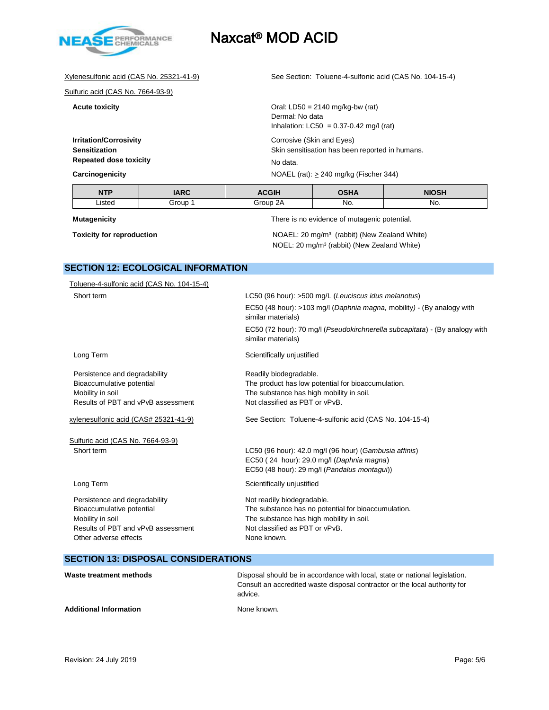

Xylenesulfonic acid (CAS No. 25321-41-9) See Section: Toluene-4-sulfonic acid (CAS No. 104-15-4)

Sulfuric acid (CAS No. 7664-93-9)

**Acute toxicity Acute toxicity COLOGIST ACUTE 10.4** Oral: LD50 = 2140 mg/kg-bw (rat)

Dermal: No data Inhalation:  $LC50 = 0.37 - 0.42$  mg/l (rat) **Irritation/Corrosivity** Corrosive (Skin and Eyes)

**Sensitization** Skin sensitisation has been reported in humans. **Repeated dose toxicity** No data. **Carcinogenicity** NOAEL (rat):  $\geq$  240 mg/kg (Fischer 344)

| <b>NTP</b> | IADC  | $\sim$ $\sim$ $\sim$ $\sim$ | <b>AII</b> | <b>NINGU</b> |
|------------|-------|-----------------------------|------------|--------------|
| Listed     | ⊰r∩⊔n | ^ ^<br>. ∔ro⊔r              | No.        | No.          |

**Mutagenicity** There is no evidence of mutagenic potential.

**Toxicity for reproduction NOAEL:** 20 mg/m<sup>3</sup> (rabbit) (New Zealand White) NOEL: 20 mg/m³ (rabbit) (New Zealand White)

## **SECTION 12: ECOLOGICAL INFORMATION**

| Toluene-4-sulfonic acid (CAS No. 104-15-4) |                                                                                                                                                     |
|--------------------------------------------|-----------------------------------------------------------------------------------------------------------------------------------------------------|
| Short term                                 | LC50 (96 hour): >500 mg/L (Leuciscus idus melanotus)                                                                                                |
|                                            | EC50 (48 hour): >103 mg/l (Daphnia magna, mobility) - (By analogy with<br>similar materials)                                                        |
|                                            | EC50 (72 hour): 70 mg/l (Pseudokirchnerella subcapitata) - (By analogy with<br>similar materials)                                                   |
| Long Term                                  | Scientifically unjustified                                                                                                                          |
| Persistence and degradability              | Readily biodegradable.                                                                                                                              |
| Bioaccumulative potential                  | The product has low potential for bioaccumulation.                                                                                                  |
| Mobility in soil                           | The substance has high mobility in soil.                                                                                                            |
| Results of PBT and vPvB assessment         | Not classified as PBT or vPvB.                                                                                                                      |
| xylenesulfonic acid (CAS# 25321-41-9)      | See Section: Toluene-4-sulfonic acid (CAS No. 104-15-4)                                                                                             |
| Sulfuric acid (CAS No. 7664-93-9)          |                                                                                                                                                     |
| Short term                                 | LC50 (96 hour): 42.0 mg/l (96 hour) (Gambusia affinis)<br>EC50 (24 hour): 29.0 mg/l (Daphnia magna)<br>EC50 (48 hour): 29 mg/l (Pandalus montagui)) |
| Long Term                                  | Scientifically unjustified                                                                                                                          |
| Persistence and degradability              | Not readily biodegradable.                                                                                                                          |
| Bioaccumulative potential                  | The substance has no potential for bioaccumulation.                                                                                                 |
| Mobility in soil                           | The substance has high mobility in soil.                                                                                                            |
| Results of PBT and vPvB assessment         | Not classified as PBT or vPvB.                                                                                                                      |
| Other adverse effects                      | None known.                                                                                                                                         |
|                                            |                                                                                                                                                     |

## **SECTION 13: DISPOSAL CONSIDERATIONS**

| Waste treatment methods       | Disposal should be in accordance with local, state or national legislation.<br>Consult an accredited waste disposal contractor or the local authority for<br>advice. |
|-------------------------------|----------------------------------------------------------------------------------------------------------------------------------------------------------------------|
| <b>Additional Information</b> | None known.                                                                                                                                                          |